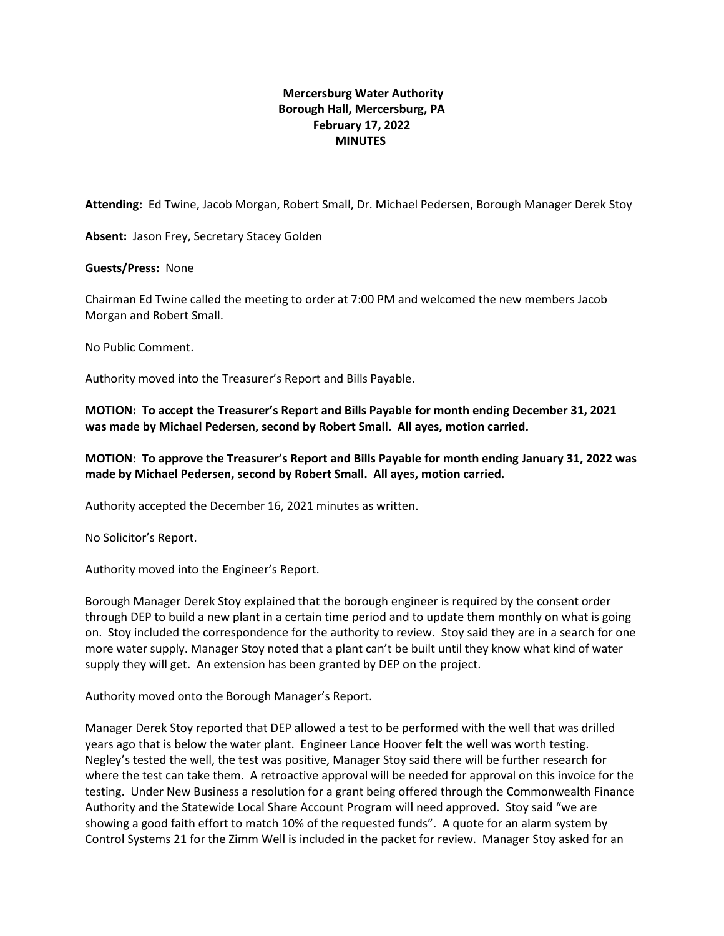## **Mercersburg Water Authority Borough Hall, Mercersburg, PA February 17, 2022 MINUTES**

**Attending:** Ed Twine, Jacob Morgan, Robert Small, Dr. Michael Pedersen, Borough Manager Derek Stoy

**Absent:** Jason Frey, Secretary Stacey Golden

## **Guests/Press:** None

Chairman Ed Twine called the meeting to order at 7:00 PM and welcomed the new members Jacob Morgan and Robert Small.

No Public Comment.

Authority moved into the Treasurer's Report and Bills Payable.

**MOTION: To accept the Treasurer's Report and Bills Payable for month ending December 31, 2021 was made by Michael Pedersen, second by Robert Small. All ayes, motion carried.**

## **MOTION: To approve the Treasurer's Report and Bills Payable for month ending January 31, 2022 was made by Michael Pedersen, second by Robert Small. All ayes, motion carried.**

Authority accepted the December 16, 2021 minutes as written.

No Solicitor's Report.

Authority moved into the Engineer's Report.

Borough Manager Derek Stoy explained that the borough engineer is required by the consent order through DEP to build a new plant in a certain time period and to update them monthly on what is going on. Stoy included the correspondence for the authority to review. Stoy said they are in a search for one more water supply. Manager Stoy noted that a plant can't be built until they know what kind of water supply they will get. An extension has been granted by DEP on the project.

Authority moved onto the Borough Manager's Report.

Manager Derek Stoy reported that DEP allowed a test to be performed with the well that was drilled years ago that is below the water plant. Engineer Lance Hoover felt the well was worth testing. Negley's tested the well, the test was positive, Manager Stoy said there will be further research for where the test can take them. A retroactive approval will be needed for approval on this invoice for the testing. Under New Business a resolution for a grant being offered through the Commonwealth Finance Authority and the Statewide Local Share Account Program will need approved. Stoy said "we are showing a good faith effort to match 10% of the requested funds". A quote for an alarm system by Control Systems 21 for the Zimm Well is included in the packet for review. Manager Stoy asked for an